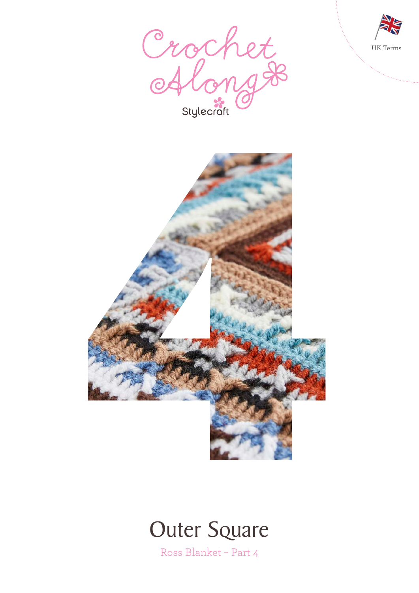





# **Outer Square**

Ross Blanket – Part 4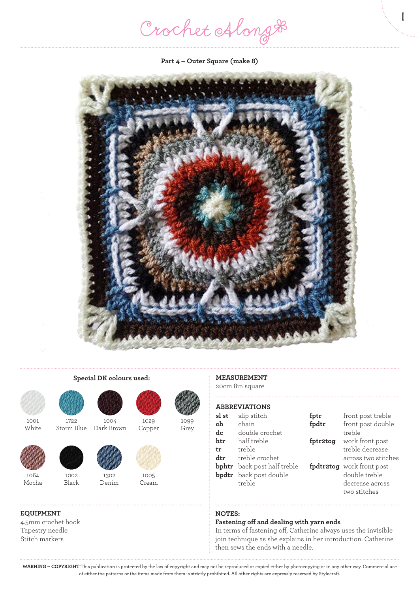Crochet Along #

1

**Part 4 – Outer Square (make 8)**





1001 White



1064 Mocha

# **EQUIPMENT**

4.5mm crochet hook Tapestry needle Stitch markers

1002 Black

1722



**Special DK colours used:**

Storm Blue 1004 Dark Brown

> 1302 Denim





1099 Grey



1029 Copper

Cream

## **MEASUREMENT** 20cm 8in square

#### **ABBREVIATIONS sl st** slip stitch

| sl st | slip stitch                        | fptr     | front post treble         |
|-------|------------------------------------|----------|---------------------------|
| ch    | chain                              | fpdtr    | front post double         |
| dc    | double crochet                     |          | treble                    |
| htr   | half treble                        | fptr2tog | work front post           |
| tr    | treble                             |          | treble decrease           |
| dtr   | treble crochet                     |          | across two stitches       |
|       | <b>bphtr</b> back post half treble |          | fpdtr2tog work front post |
|       | <b>bpdtr</b> back post double      |          | double treble             |
|       | treble                             |          | decrease across           |
|       |                                    |          | two stitches              |

# **NOTES:**

## **Fastening off and dealing with yarn ends**

In terms of fastening off, Catherine always uses the invisible join technique as she explains in her introduction. Catherine then sews the ends with a needle.

**WARNING – COPYRIGHT** This publication is protected by the law of copyright and may not be reproduced or copied either by photocopying or in any other way. Commercial use of either the patterns or the items made from them is strictly prohibited. All other rights are expressly reserved by Stylecraft.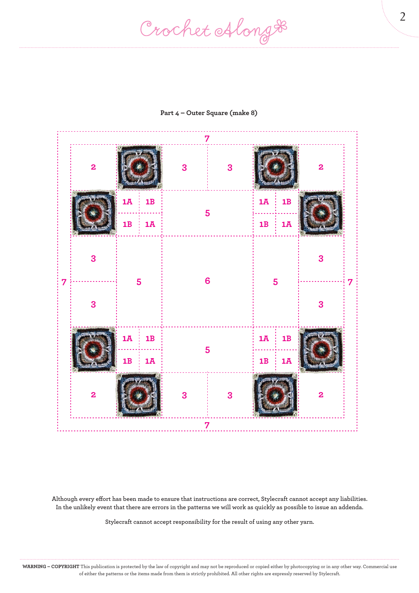Crochet Along #



### **Part 4 – Outer Square (make 8)**

**Although every effort has been made to ensure that instructions are correct, Stylecraft cannot accept any liabilities. In the unlikely event that there are errors in the patterns we will work as quickly as possible to issue an addenda.**

**Stylecraft cannot accept responsibility for the result of using any other yarn.**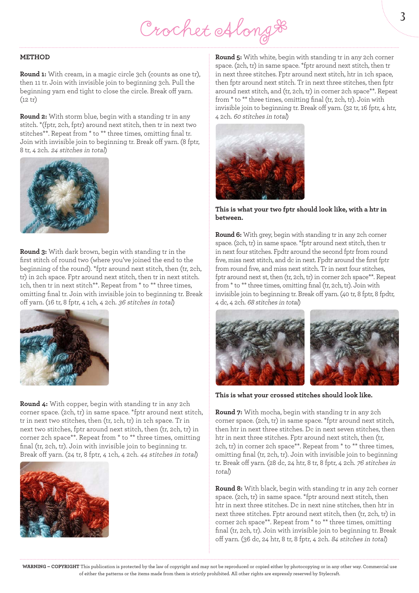Crochet Along &

#### **METHOD**

**Round 1:** With cream, in a magic circle 3ch (counts as one tr), then 11 tr. Join with invisible join to beginning 3ch. Pull the beginning yarn end tight to close the circle. Break off yarn. (12 tr)

**Round 2:** With storm blue, begin with a standing tr in any stitch. \*(fptr, 2ch, fptr) around next stitch, then tr in next two stitches\*\*. Repeat from \* to \*\* three times, omitting final tr. Join with invisible join to beginning tr. Break off yarn. (8 fptr, 8 tr, 4 2ch. 24 stitches in total)



**Round 3:** With dark brown, begin with standing tr in the first stitch of round two (where you've joined the end to the beginning of the round). \*fptr around next stitch, then (tr, 2ch, tr) in 2ch space. Fptr around next stitch, then tr in next stitch. 1ch, then tr in next stitch\*\*. Repeat from \* to \*\* three times, omitting final tr. Join with invisible join to beginning tr. Break off yarn. (16 tr, 8 fptr, 4 1ch, 4 2ch. 36 stitches in total)



**Round 4:** With copper, begin with standing tr in any 2ch corner space. (2ch, tr) in same space. \*fptr around next stitch, tr in next two stitches, then (tr, 1ch, tr) in 1ch space. Tr in next two stitches, fptr around next stitch, then (tr, 2ch, tr) in corner 2ch space\*\*. Repeat from \* to \*\* three times, omitting final (tr, 2ch, tr). Join with invisible join to beginning tr. Break off yarn. (24 tr, 8 fptr, 4 1ch, 4 2ch. 44 stitches in total)



**Round 5:** With white, begin with standing tr in any 2ch corner space. (2ch, tr) in same space. \*fptr around next stitch, then tr in next three stitches. Fptr around next stitch, htr in 1ch space, then fptr around next stitch. Tr in next three stitches, then fptr around next stitch, and (tr, 2ch, tr) in corner 2ch space\*\*. Repeat from \* to \*\* three times, omitting final (tr, 2ch, tr). Join with invisible join to beginning tr. Break off yarn. (32 tr, 16 fptr, 4 htr, 4 2ch. 60 stitches in total)



**This is what your two fptr should look like, with a htr in between.**

**Round 6:** With grey, begin with standing tr in any 2ch corner space. (2ch, tr) in same space. \*fptr around next stitch, then tr in next four stitches. Fpdtr around the second fptr from round five, miss next stitch, and dc in next. Fpdtr around the first fptr from round five, and miss next stitch. Tr in next four stitches, fptr around next st, then (tr, 2ch, tr) in corner 2ch space\*\*. Repeat from \* to \*\* three times, omitting final (tr, 2ch, tr). Join with invisible join to beginning tr. Break off yarn. (40 tr, 8 fptr, 8 fpdtr, 4 dc, 4 2ch. 68 stitches in total)



**This is what your crossed stitches should look like.**

**Round 7:** With mocha, begin with standing tr in any 2ch corner space. (2ch, tr) in same space. \*fptr around next stitch, then htr in next three stitches. Dc in next seven stitches, then htr in next three stitches. Fptr around next stitch, then (tr, 2ch, tr) in corner 2ch space\*\*. Repeat from \* to \*\* three times, omitting final (tr, 2ch, tr). Join with invisible join to beginning tr. Break off yarn. (28 dc, 24 htr, 8 tr, 8 fptr, 4 2ch. 76 stitches in total)

**Round 8:** With black, begin with standing tr in any 2ch corner space. (2ch, tr) in same space. \*fptr around next stitch, then htr in next three stitches. Dc in next nine stitches, then htr in next three stitches. Fptr around next stitch, then (tr, 2ch, tr) in corner 2ch space\*\*. Repeat from \* to \*\* three times, omitting final (tr, 2ch, tr). Join with invisible join to beginning tr. Break off yarn. (36 dc, 24 htr, 8 tr, 8 fptr, 4 2ch. 84 stitches in total)

**WARNING – COPYRIGHT** This publication is protected by the law of copyright and may not be reproduced or copied either by photocopying or in any other way. Commercial use of either the patterns or the items made from them is strictly prohibited. All other rights are expressly reserved by Stylecraft.